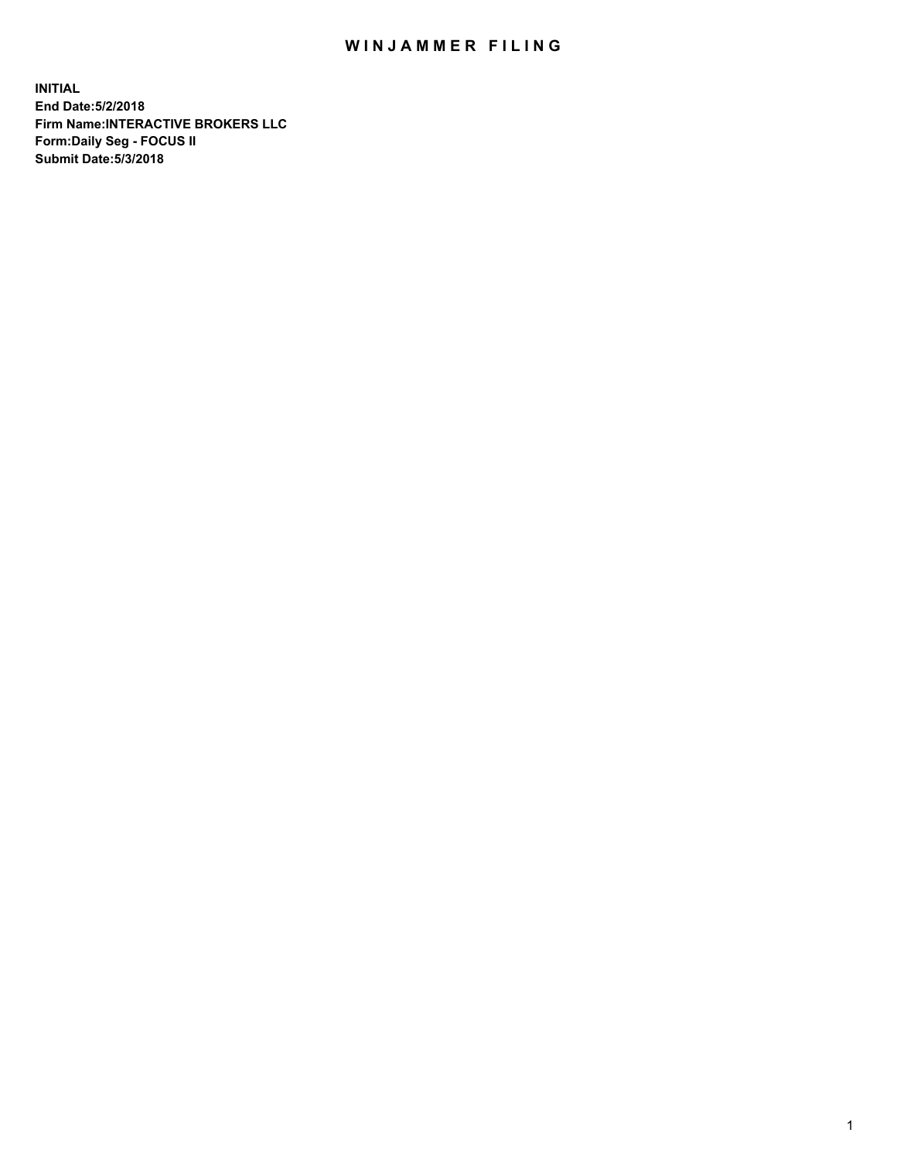## WIN JAMMER FILING

**INITIAL End Date:5/2/2018 Firm Name:INTERACTIVE BROKERS LLC Form:Daily Seg - FOCUS II Submit Date:5/3/2018**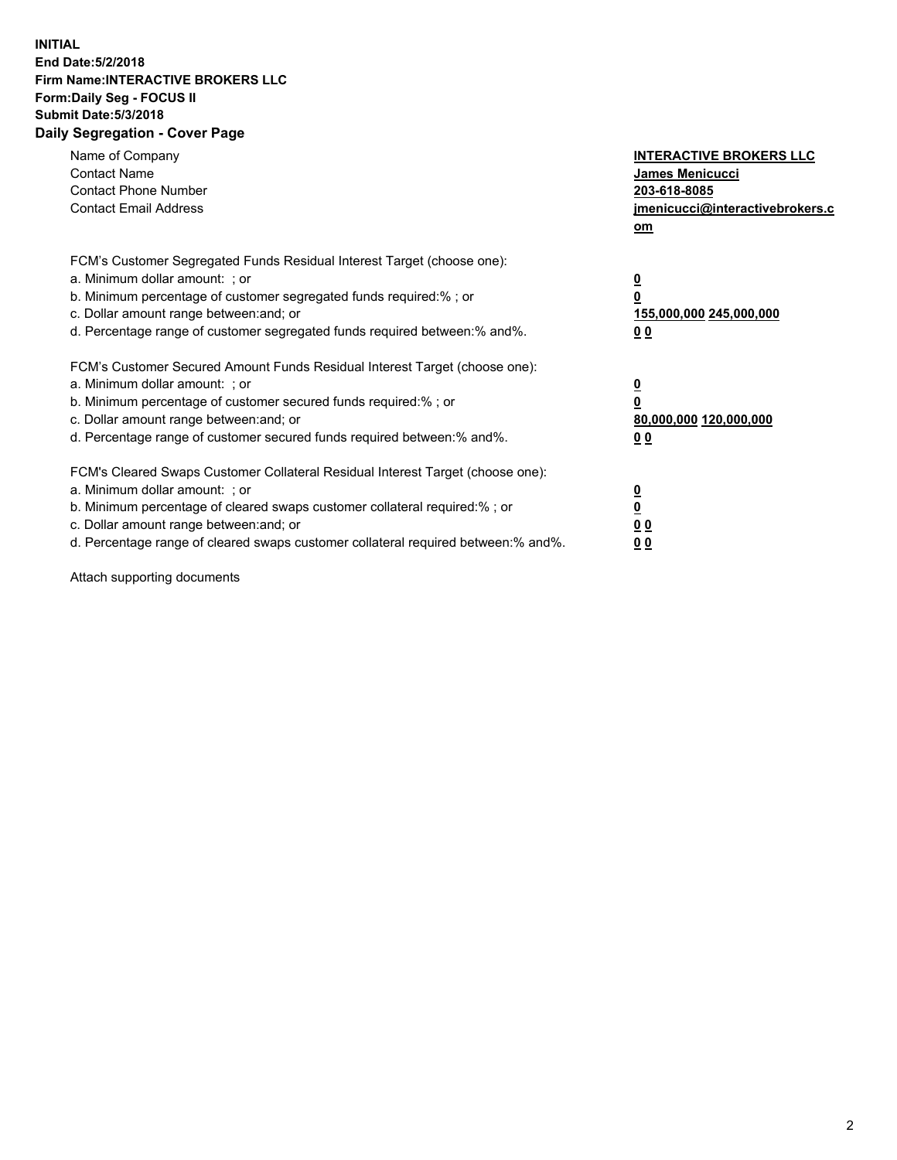## **INITIAL End Date:5/2/2018 Firm Name:INTERACTIVE BROKERS LLC Form:Daily Seg - FOCUS II Submit Date:5/3/2018 Daily Segregation - Cover Page**

| Name of Company<br><b>Contact Name</b><br><b>Contact Phone Number</b><br><b>Contact Email Address</b>                                                                                                                                                                                                                          | <b>INTERACTIVE BROKERS LLC</b><br>James Menicucci<br>203-618-8085<br>jmenicucci@interactivebrokers.c<br>om |
|--------------------------------------------------------------------------------------------------------------------------------------------------------------------------------------------------------------------------------------------------------------------------------------------------------------------------------|------------------------------------------------------------------------------------------------------------|
| FCM's Customer Segregated Funds Residual Interest Target (choose one):<br>a. Minimum dollar amount: ; or<br>b. Minimum percentage of customer segregated funds required:%; or<br>c. Dollar amount range between: and; or<br>d. Percentage range of customer segregated funds required between:% and%.                          | $\overline{\mathbf{0}}$<br>$\overline{\mathbf{0}}$<br>155,000,000 245,000,000<br>00                        |
| FCM's Customer Secured Amount Funds Residual Interest Target (choose one):<br>a. Minimum dollar amount: ; or<br>b. Minimum percentage of customer secured funds required:%; or<br>c. Dollar amount range between: and; or<br>d. Percentage range of customer secured funds required between: % and %.                          | $\overline{\mathbf{0}}$<br>0<br>80,000,000 120,000,000<br>00                                               |
| FCM's Cleared Swaps Customer Collateral Residual Interest Target (choose one):<br>a. Minimum dollar amount: ; or<br>b. Minimum percentage of cleared swaps customer collateral required:% ; or<br>c. Dollar amount range between: and; or<br>d. Percentage range of cleared swaps customer collateral required between:% and%. | $\overline{\mathbf{0}}$<br>$\underline{\mathbf{0}}$<br>0 <sub>0</sub><br>0 <sub>0</sub>                    |

Attach supporting documents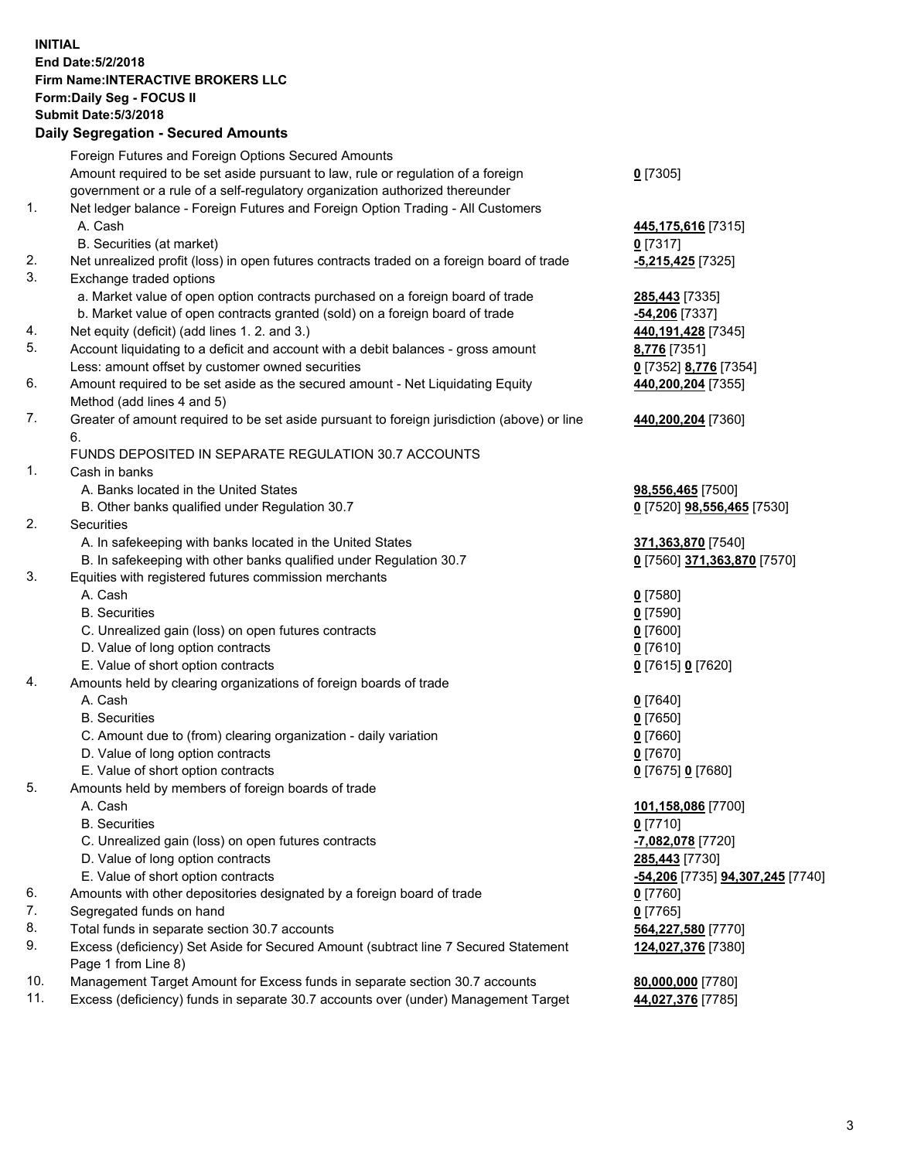## **INITIAL End Date:5/2/2018 Firm Name:INTERACTIVE BROKERS LLC Form:Daily Seg - FOCUS II Submit Date:5/3/2018 Daily Segregation - Secured Amounts**

|     | Foreign Futures and Foreign Options Secured Amounts                                         |                                  |
|-----|---------------------------------------------------------------------------------------------|----------------------------------|
|     | Amount required to be set aside pursuant to law, rule or regulation of a foreign            | $0$ [7305]                       |
|     | government or a rule of a self-regulatory organization authorized thereunder                |                                  |
| 1.  | Net ledger balance - Foreign Futures and Foreign Option Trading - All Customers             |                                  |
|     | A. Cash                                                                                     | 445,175,616 [7315]               |
|     | B. Securities (at market)                                                                   | $0$ [7317]                       |
| 2.  | Net unrealized profit (loss) in open futures contracts traded on a foreign board of trade   | <b>-5,215,425</b> [7325]         |
| 3.  | Exchange traded options                                                                     |                                  |
|     | a. Market value of open option contracts purchased on a foreign board of trade              | 285,443 [7335]                   |
|     | b. Market value of open contracts granted (sold) on a foreign board of trade                | <u>-54,206</u> [7337]            |
| 4.  | Net equity (deficit) (add lines 1.2. and 3.)                                                | 440,191,428 [7345]               |
| 5.  | Account liquidating to a deficit and account with a debit balances - gross amount           | 8,776 [7351]                     |
|     | Less: amount offset by customer owned securities                                            | 0 [7352] 8,776 [7354]            |
| 6.  | Amount required to be set aside as the secured amount - Net Liquidating Equity              | 440,200,204 [7355]               |
|     | Method (add lines 4 and 5)                                                                  |                                  |
| 7.  | Greater of amount required to be set aside pursuant to foreign jurisdiction (above) or line |                                  |
|     |                                                                                             | 440,200,204 [7360]               |
|     | 6.                                                                                          |                                  |
|     | FUNDS DEPOSITED IN SEPARATE REGULATION 30.7 ACCOUNTS                                        |                                  |
| 1.  | Cash in banks                                                                               |                                  |
|     | A. Banks located in the United States                                                       | 98,556,465 [7500]                |
|     | B. Other banks qualified under Regulation 30.7                                              | 0 [7520] 98,556,465 [7530]       |
| 2.  | Securities                                                                                  |                                  |
|     | A. In safekeeping with banks located in the United States                                   | 371,363,870 [7540]               |
|     | B. In safekeeping with other banks qualified under Regulation 30.7                          | 0 [7560] 371,363,870 [7570]      |
| 3.  | Equities with registered futures commission merchants                                       |                                  |
|     | A. Cash                                                                                     | $0$ [7580]                       |
|     | <b>B.</b> Securities                                                                        | $0$ [7590]                       |
|     | C. Unrealized gain (loss) on open futures contracts                                         | $0$ [7600]                       |
|     | D. Value of long option contracts                                                           | $0$ [7610]                       |
|     | E. Value of short option contracts                                                          | 0 [7615] 0 [7620]                |
| 4.  | Amounts held by clearing organizations of foreign boards of trade                           |                                  |
|     | A. Cash                                                                                     | $0$ [7640]                       |
|     | <b>B.</b> Securities                                                                        | $0$ [7650]                       |
|     | C. Amount due to (from) clearing organization - daily variation                             | $0$ [7660]                       |
|     | D. Value of long option contracts                                                           | $0$ [7670]                       |
|     | E. Value of short option contracts                                                          | 0 [7675] 0 [7680]                |
| 5.  | Amounts held by members of foreign boards of trade                                          |                                  |
|     | A. Cash                                                                                     | 101,158,086 [7700]               |
|     | <b>B.</b> Securities                                                                        | $0$ [7710]                       |
|     | C. Unrealized gain (loss) on open futures contracts                                         | -7,082,078 [7720]                |
|     | D. Value of long option contracts                                                           | 285,443 [7730]                   |
|     | E. Value of short option contracts                                                          | -54,206 [7735] 94,307,245 [7740] |
| 6.  | Amounts with other depositories designated by a foreign board of trade                      | $0$ [7760]                       |
| 7.  | Segregated funds on hand                                                                    | $0$ [7765]                       |
| 8.  | Total funds in separate section 30.7 accounts                                               | 564,227,580 [7770]               |
| 9.  | Excess (deficiency) Set Aside for Secured Amount (subtract line 7 Secured Statement         | 124,027,376 [7380]               |
|     | Page 1 from Line 8)                                                                         |                                  |
| 10. | Management Target Amount for Excess funds in separate section 30.7 accounts                 | 80,000,000 [7780]                |
| 11. | Excess (deficiency) funds in separate 30.7 accounts over (under) Management Target          | 44,027,376 [7785]                |
|     |                                                                                             |                                  |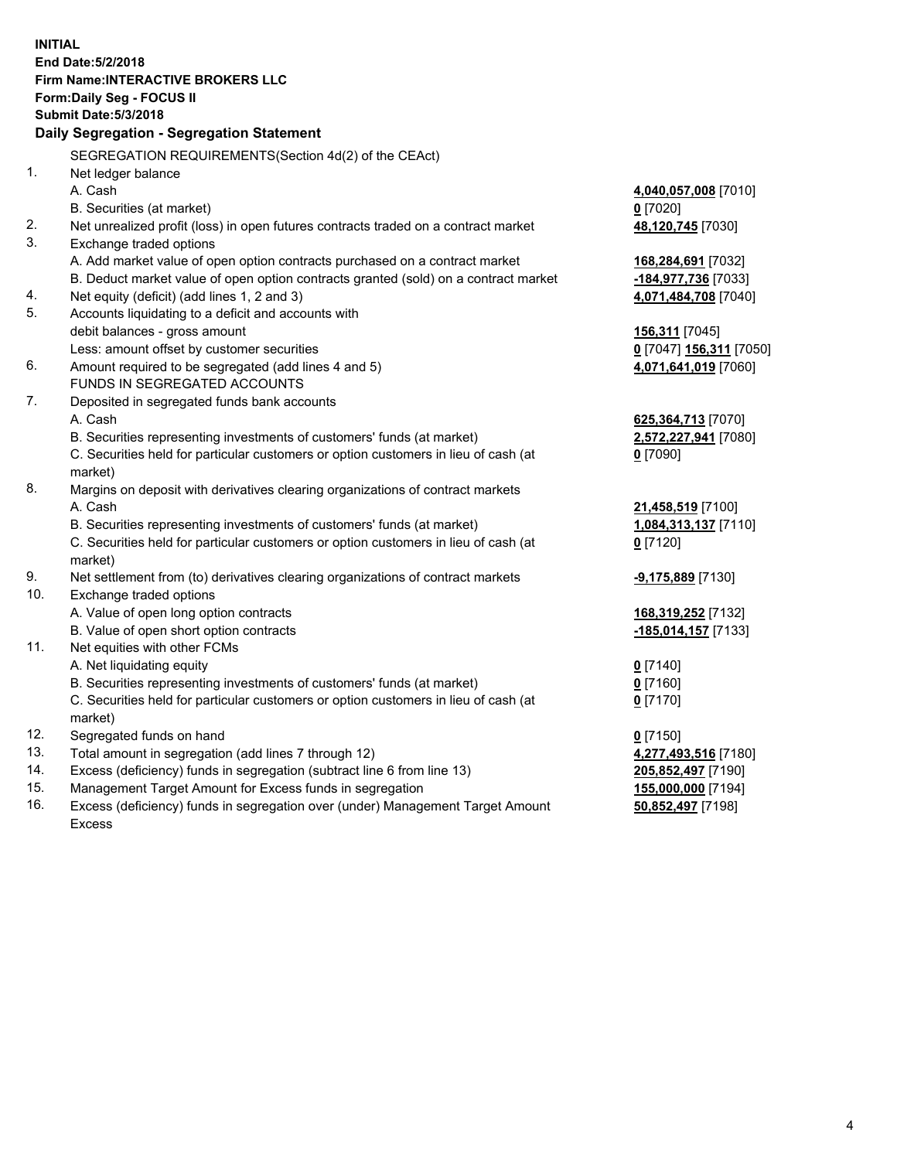**INITIAL End Date:5/2/2018 Firm Name:INTERACTIVE BROKERS LLC Form:Daily Seg - FOCUS II Submit Date:5/3/2018 Daily Segregation - Segregation Statement** SEGREGATION REQUIREMENTS(Section 4d(2) of the CEAct) 1. Net ledger balance A. Cash **4,040,057,008** [7010] B. Securities (at market) **0** [7020] 2. Net unrealized profit (loss) in open futures contracts traded on a contract market **48,120,745** [7030] 3. Exchange traded options A. Add market value of open option contracts purchased on a contract market **168,284,691** [7032] B. Deduct market value of open option contracts granted (sold) on a contract market **-184,977,736** [7033] 4. Net equity (deficit) (add lines 1, 2 and 3) **4,071,484,708** [7040] 5. Accounts liquidating to a deficit and accounts with debit balances - gross amount **156,311** [7045] Less: amount offset by customer securities **0** [7047] **156,311** [7050] 6. Amount required to be segregated (add lines 4 and 5) **4,071,641,019** [7060] FUNDS IN SEGREGATED ACCOUNTS 7. Deposited in segregated funds bank accounts A. Cash **625,364,713** [7070] B. Securities representing investments of customers' funds (at market) **2,572,227,941** [7080] C. Securities held for particular customers or option customers in lieu of cash (at market) **0** [7090] 8. Margins on deposit with derivatives clearing organizations of contract markets A. Cash **21,458,519** [7100] B. Securities representing investments of customers' funds (at market) **1,084,313,137** [7110] C. Securities held for particular customers or option customers in lieu of cash (at market) **0** [7120] 9. Net settlement from (to) derivatives clearing organizations of contract markets **-9,175,889** [7130] 10. Exchange traded options A. Value of open long option contracts **168,319,252** [7132] B. Value of open short option contracts **-185,014,157** [7133] 11. Net equities with other FCMs A. Net liquidating equity **0** [7140] B. Securities representing investments of customers' funds (at market) **0** [7160] C. Securities held for particular customers or option customers in lieu of cash (at market) **0** [7170] 12. Segregated funds on hand **0** [7150] 13. Total amount in segregation (add lines 7 through 12) **4,277,493,516** [7180] 14. Excess (deficiency) funds in segregation (subtract line 6 from line 13) **205,852,497** [7190] 15. Management Target Amount for Excess funds in segregation **155,000,000** [7194] **50,852,497** [7198]

16. Excess (deficiency) funds in segregation over (under) Management Target Amount Excess